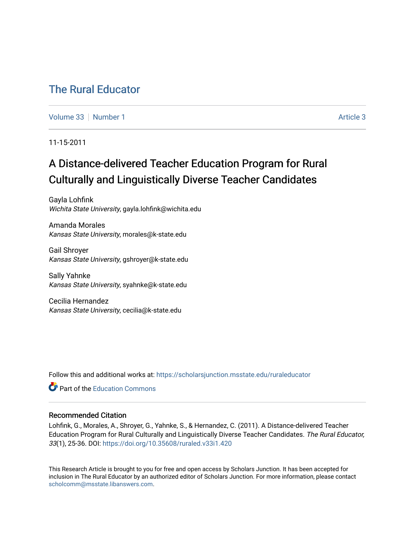## [The Rural Educator](https://scholarsjunction.msstate.edu/ruraleducator)

[Volume 33](https://scholarsjunction.msstate.edu/ruraleducator/vol33) [Number 1](https://scholarsjunction.msstate.edu/ruraleducator/vol33/iss1) [Article 3](https://scholarsjunction.msstate.edu/ruraleducator/vol33/iss1/3) Article 3

11-15-2011

# A Distance-delivered Teacher Education Program for Rural Culturally and Linguistically Diverse Teacher Candidates

Gayla Lohfink Wichita State University, gayla.lohfink@wichita.edu

Amanda Morales Kansas State University, morales@k-state.edu

Gail Shroyer Kansas State University, gshroyer@k-state.edu

Sally Yahnke Kansas State University, syahnke@k-state.edu

Cecilia Hernandez Kansas State University, cecilia@k-state.edu

Follow this and additional works at: [https://scholarsjunction.msstate.edu/ruraleducator](https://scholarsjunction.msstate.edu/ruraleducator?utm_source=scholarsjunction.msstate.edu%2Fruraleducator%2Fvol33%2Fiss1%2F3&utm_medium=PDF&utm_campaign=PDFCoverPages)

**C** Part of the [Education Commons](http://network.bepress.com/hgg/discipline/784?utm_source=scholarsjunction.msstate.edu%2Fruraleducator%2Fvol33%2Fiss1%2F3&utm_medium=PDF&utm_campaign=PDFCoverPages)

## Recommended Citation

Lohfink, G., Morales, A., Shroyer, G., Yahnke, S., & Hernandez, C. (2011). A Distance-delivered Teacher Education Program for Rural Culturally and Linguistically Diverse Teacher Candidates. The Rural Educator, 33(1), 25-36. DOI: <https://doi.org/10.35608/ruraled.v33i1.420>

This Research Article is brought to you for free and open access by Scholars Junction. It has been accepted for inclusion in The Rural Educator by an authorized editor of Scholars Junction. For more information, please contact [scholcomm@msstate.libanswers.com.](mailto:scholcomm@msstate.libanswers.com)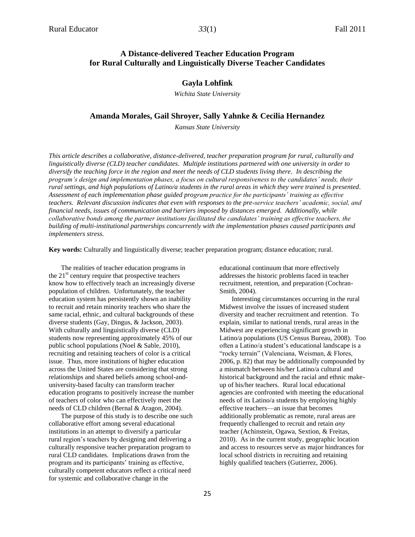## **A Distance-delivered Teacher Education Program for Rural Culturally and Linguistically Diverse Teacher Candidates**

## **Gayla Lohfink**

*Wichita State University*

## **Amanda Morales, Gail Shroyer, Sally Yahnke & Cecilia Hernandez**

*Kansas State University*

*This article describes a collaborative, distance-delivered, teacher preparation program for rural, culturally and linguistically diverse (CLD) teacher candidates. Multiple institutions partnered with one university in order to diversify the teaching force in the region and meet the needs of CLD students living there. In describing the program's design and implementation phases, a focus on cultural responsiveness to the candidates' needs, their rural settings, and high populations of Latino/a students in the rural areas in which they were trained is presented. Assessment of each implementation phase guided program practice for the participants' training as effective teachers. Relevant discussion indicates that even with responses to the pre-service teachers' academic, social, and financial needs, issues of communication and barriers imposed by distances emerged. Additionally, while collaborative bonds among the partner institutions facilitated the candidates' training as effective teachers, the building of multi-institutional partnerships concurrently with the implementation phases caused participants and implementers stress.*

**Key words:** Culturally and linguistically diverse; teacher preparation program; distance education; rural.

The realities of teacher education programs in the  $21<sup>st</sup>$  century require that prospective teachers know how to effectively teach an increasingly diverse population of children. Unfortunately, the teacher education system has persistently shown an inability to recruit and retain minority teachers who share the same racial, ethnic, and cultural backgrounds of these diverse students (Gay, Dingus, & Jackson, 2003). With culturally and linguistically diverse (CLD) students now representing approximately 45% of our public school populations (Noel & Sable, 2010), recruiting and retaining teachers of color is a critical issue. Thus, more institutions of higher education across the United States are considering that strong relationships and shared beliefs among school-anduniversity-based faculty can transform teacher education programs to positively increase the number of teachers of color who can effectively meet the needs of CLD children (Bernal & Aragon, 2004).

The purpose of this study is to describe one such collaborative effort among several educational institutions in an attempt to diversify a particular rural region's teachers by designing and delivering a culturally responsive teacher preparation program to rural CLD candidates. Implications drawn from the program and its participants' training as effective, culturally competent educators reflect a critical need for systemic and collaborative change in the

educational continuum that more effectively addresses the historic problems faced in teacher recruitment, retention, and preparation (Cochran-Smith, 2004).

Interesting circumstances occurring in the rural Midwest involve the issues of increased student diversity and teacher recruitment and retention. To explain, similar to national trends, rural areas in the Midwest are experiencing significant growth in Latino/a populations (US Census Bureau, 2008). Too often a Latino/a student's educational landscape is a "rocky terrain" (Valenciana, Weisman, & Flores, 2006, p. 82) that may be additionally compounded by a mismatch between his/her Latino/a cultural and historical background and the racial and ethnic makeup of his/her teachers. Rural local educational agencies are confronted with meeting the educational needs of its Latino/a students by employing highly effective teachers—an issue that becomes additionally problematic as remote, rural areas are frequently challenged to recruit and retain *any*  teacher (Achinstein, Ogawa, Sextion, & Freitas, 2010). As in the current study, geographic location and access to resources serve as major hindrances for local school districts in recruiting and retaining highly qualified teachers (Gutierrez, 2006).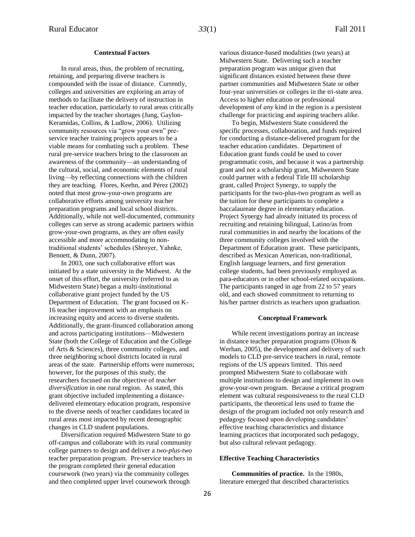## **Contextual Factors**

In rural areas, thus, the problem of recruiting, retaining, and preparing diverse teachers is compounded with the issue of distance. Currently, colleges and universities are exploring an array of methods to facilitate the delivery of instruction in teacher education, particularly to rural areas critically impacted by the teacher shortages (Jung, Gaylon-Keramidas, Collins, & Ludlow, 2006). Utilizing community resources via "grow your own" preservice teacher training projects appears to be a viable means for combating such a problem. These rural pre-service teachers bring to the classroom an awareness of the community—an understanding of the cultural, social, and economic elements of rural living—by reflecting connections with the children they are teaching. Flores, Keehn, and Pérez (2002) noted that most grow-your-own programs are collaborative efforts among university teacher preparation programs and local school districts. Additionally, while not well-documented, community colleges can serve as strong academic partners within grow-your-own programs, as they are often easily accessible and more accommodating to nontraditional students' schedules (Shroyer, Yahnke, Bennett, & Dunn, 2007).

In 2003, one such collaborative effort was initiated by a state university in the Midwest. At the onset of this effort, the university (referred to as Midwestern State) began a multi-institutional collaborative grant project funded by the US Department of Education. The grant focused on K-16 teacher improvement with an emphasis on increasing equity and access to diverse students. Additionally, the grant-financed collaboration among and across participating institutions—Midwestern State (both the College of Education and the College of Arts & Sciences), three community colleges, and three neighboring school districts located in rural areas of the state. Partnership efforts were numerous; however, for the purposes of this study, the researchers focused on the objective of *teacher diversification* in one rural region. As stated, this grant objective included implementing a distancedelivered elementary education program, responsive to the diverse needs of teacher candidates located in rural areas most impacted by recent demographic changes in CLD student populations.

Diversification required Midwestern State to go off-campus and collaborate with its rural community college partners to design and deliver a *two-plus-two*  teacher preparation program. Pre-service teachers in the program completed their general education coursework (two years) via the community colleges and then completed upper level coursework through

various distance-based modalities (two years) at Midwestern State. Delivering such a teacher preparation program was unique given that significant distances existed between these three partner communities and Midwestern State or other four-year universities or colleges in the tri-state area. Access to higher education or professional development of *any* kind in the region is a persistent challenge for practicing and aspiring teachers alike.

To begin, Midwestern State considered the specific processes, collaboration, and funds required for conducting a distance-delivered program for the teacher education candidates. Department of Education grant funds could be used to cover programmatic costs, and because it was a partnership grant and not a scholarship grant, Midwestern State could partner with a federal Title III scholarship grant, called Project Synergy, to supply the participants for the two-plus-two program as well as the tuition for these participants to complete a baccalaureate degree in elementary education. Project Synergy had already initiated its process of recruiting and retaining bilingual, Latino/as from rural communities in and nearby the locations of the three community colleges involved with the Department of Education grant. These participants, described as Mexican American, non-traditional, English language learners, and first generation college students, had been previously employed as para-educators or in other school-related occupations. The participants ranged in age from 22 to 57 years old, and each showed commitment to returning to his/her partner districts as teachers upon graduation.

#### **Conceptual Framework**

While recent investigations portray an increase in distance teacher preparation programs (Olson & Werhan, 2005), the development and delivery of such models to CLD pre-service teachers in rural, remote regions of the US appears limited. This need prompted Midwestern State to collaborate with multiple institutions to design and implement its own grow-your-own program. Because a critical program element was cultural responsiveness to the rural CLD participants, the theoretical lens used to frame the design of the program included not only research and pedagogy focused upon developing candidates' effective teaching characteristics and distance learning practices that incorporated such pedagogy, but also cultural relevant pedagogy.

## **Effective Teaching Characteristics**

**Communities of practice.** In the 1980s, literature emerged that described characteristics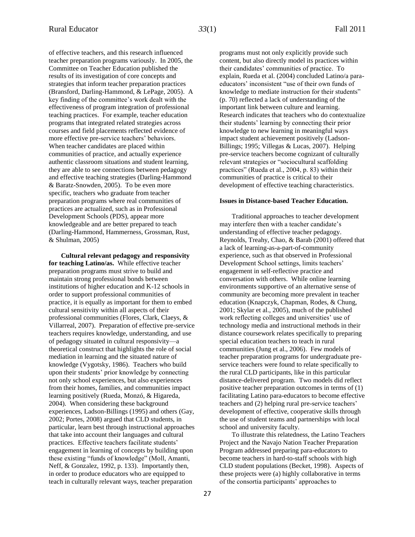of effective teachers, and this research influenced teacher preparation programs variously. In 2005, the Committee on Teacher Education published the results of its investigation of core concepts and strategies that inform teacher preparation practices (Bransford, Darling-Hammond, & LePage, 2005). A key finding of the committee's work dealt with the effectiveness of program integration of professional teaching practices. For example, teacher education programs that integrated related strategies across courses and field placements reflected evidence of more effective pre-service teachers' behaviors. When teacher candidates are placed within communities of practice, and actually experience authentic classroom situations and student learning, they are able to see connections between pedagogy and effective teaching strategies (Darling-Hammond & Baratz-Snowden, 2005). To be even more specific, teachers who graduate from teacher preparation programs where real communities of practices are actualized, such as in Professional Development Schools (PDS), appear more knowledgeable and are better prepared to teach (Darling-Hammond, Hammerness, Grossman, Rust, & Shulman, 2005)

**Cultural relevant pedagogy and responsivity for teaching Latino/as.** While effective teacher preparation programs must strive to build and maintain strong professional bonds between institutions of higher education and K-12 schools in order to support professional communities of practice, it is equally as important for them to embed cultural sensitivity within all aspects of their professional communities (Flores, Clark, Claeys, & Villarreal, 2007). Preparation of effective pre-service teachers requires knowledge, understanding, and use of pedagogy situated in cultural responsivity—a theoretical construct that highlights the role of social mediation in learning and the situated nature of knowledge (Vygotsky, 1986). Teachers who build upon their students' prior knowledge by connecting not only school experiences, but also experiences from their homes, families, and communities impact learning positively (Rueda, Monzó, & Higareda, 2004). When considering these background experiences, Ladson-Billings (1995) and others (Gay, 2002; Portes, 2008) argued that CLD students, in particular, learn best through instructional approaches that take into account their languages and cultural practices. Effective teachers facilitate students' engagement in learning of concepts by building upon these existing "funds of knowledge" (Moll, Amanti, Neff, & Gonzalez, 1992, p. 133). Importantly then, in order to produce educators who are equipped to teach in culturally relevant ways, teacher preparation

programs must not only explicitly provide such content, but also directly model its practices within their candidates' communities of practice. To explain, Rueda et al. (2004) concluded Latino/a paraeducators' inconsistent "use of their own funds of knowledge to mediate instruction for their students" (p. 70) reflected a lack of understanding of the important link between culture and learning. Research indicates that teachers who do contextualize their students' learning by connecting their prior knowledge to new learning in meaningful ways impact student achievement positively (Ladson-Billings; 1995; Villegas & Lucas, 2007). Helping pre-service teachers become cognizant of culturally relevant strategies or "sociocultural scaffolding practices" (Rueda et al., 2004, p. 83) within their communities of practice is critical to their development of effective teaching characteristics.

#### **Issues in Distance-based Teacher Education.**

Traditional approaches to teacher development may interfere then with a teacher candidate's understanding of effective teacher pedagogy. Reynolds, Treahy, Chao, & Barab (2001) offered that a lack of learning-as-a-part-of-community experience, such as that observed in Professional Development School settings, limits teachers' engagement in self-reflective practice and conversation with others. While online learning environments supportive of an alternative sense of community are becoming more prevalent in teacher education (Knapczyk, Chapman, Rodes, & Chung, 2001; Skylar et al., 2005), much of the published work reflecting colleges and universities' use of technology media and instructional methods in their distance coursework relates specifically to preparing special education teachers to teach in rural communities (Jung et al., 2006). Few models of teacher preparation programs for undergraduate preservice teachers were found to relate specifically to the rural CLD participants, like in this particular distance-delivered program. Two models did reflect positive teacher preparation outcomes in terms of (1) facilitating Latino para-educators to become effective teachers and (2) helping rural pre-service teachers' development of effective, cooperative skills through the use of student teams and partnerships with local school and university faculty.

To illustrate this relatedness, the Latino Teachers Project and the Navajo Nation Teacher Preparation Program addressed preparing para-educators to become teachers in hard-to-staff schools with high CLD student populations (Becket, 1998). Aspects of these projects were (a) highly collaborative in terms of the consortia participants' approaches to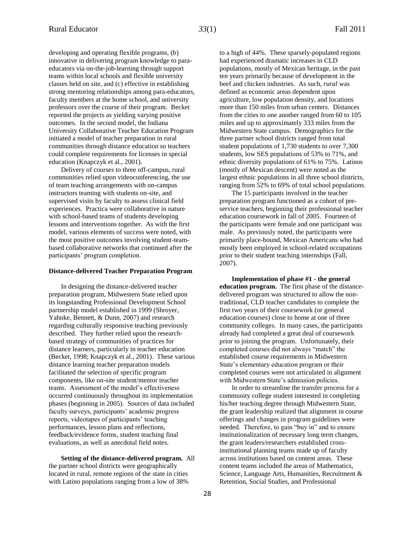developing and operating flexible programs, (b) innovative in delivering program knowledge to paraeducators via on-the-job-learning through support teams within local schools and flexible university classes held on site, and (c) effective in establishing strong mentoring relationships among para-educators, faculty members at the home school, and university professors over the course of their program. Becket reported the projects as yielding varying positive outcomes. In the second model, the Indiana University Collaborative Teacher Education Program initiated a model of teacher preparation in rural communities through distance education so teachers could complete requirements for licenses in special education (Knapczyk et al., 2001).

Delivery of courses to three off-campus, rural communities relied upon videoconferencing, the use of team teaching arrangements with on-campus instructors teaming with students on-site, and supervised visits by faculty to assess clinical field experiences. Practica were collaborative in nature with school-based teams of students developing lessons and interventions together. As with the first model, various elements of success were noted, with the most positive outcomes involving student-teambased collaborative networks that continued after the participants' program completion.

## **Distance-delivered Teacher Preparation Program**

In designing the distance-delivered teacher preparation program, Midwestern State relied upon its longstanding Professional Development School partnership model established in 1999 (Shroyer, Yahnke, Bennett, & Dunn, 2007) and research regarding culturally responsive teaching previously described. They further relied upon the researchbased strategy of communities of practices for distance learners, particularly in teacher education (Becket, 1998; Knapczyk et al., 2001). These various distance learning teacher preparation models facilitated the selection of specific program components, like on-site student/mentor teacher teams. Assessment of the model's effectiveness occurred continuously throughout its implementation phases (beginning in 2005). Sources of data included faculty surveys, participants' academic progress reports, videotapes of participants' teaching performances, lesson plans and reflections, feedback/evidence forms, student teaching final evaluations, as well as anecdotal field notes.

**Setting of the distance-delivered program.** All the partner school districts were geographically located in rural, remote regions of the state in cities with Latino populations ranging from a low of 38%

to a high of 44%. These sparsely-populated regions had experienced dramatic increases in CLD populations, mostly of Mexican heritage, in the past ten years primarily because of development in the beef and chicken industries. As such*, rural* was defined as economic areas dependent upon agriculture, low population density, and locations more than 150 miles from urban centers. Distances from the cities to one another ranged from 60 to 105 miles and up to approximately 333 miles from the Midwestern State campus. Demographics for the three partner school districts ranged from total student populations of 1,730 students to over 7,300 students, low SES populations of 53% to 71%, and ethnic diversity populations of 61% to 75%. Latinos (mostly of Mexican descent) were noted as the largest ethnic populations in all three school districts, ranging from 52% to 69% of total school populations.

The 15 participants involved in the teacher preparation program functioned as a cohort of preservice teachers, beginning their professional teacher education coursework in fall of 2005. Fourteen of the participants were female and one participant was male. As previously noted, the participants were primarily place-bound, Mexican Americans who had mostly been employed in school-related occupations prior to their student teaching internships (Fall, 2007).

**Implementation of phase #1 - the general education program.** The first phase of the distancedelivered program was structured to allow the nontraditional, CLD teacher candidates to complete the first two years of their coursework (or general education courses) close to home at one of three community colleges. In many cases, the participants already had completed a great deal of coursework prior to joining the program. Unfortunately, their completed courses did not always "match" the established course requirements in Midwestern State's elementary education program or their completed courses were not articulated in alignment with Midwestern State's admission policies.

In order to streamline the transfer process for a community college student interested in completing his/her teaching degree through Midwestern State, the grant leadership realized that alignment in course offerings and changes in program guidelines were needed. Therefore, to gain "buy in" and to ensure institutionalization of necessary long term changes, the grant leaders/researchers established crossinstitutional planning teams made up of faculty across institutions based on content areas. These content teams included the areas of Mathematics, Science, Language Arts, Humanities, Recruitment & Retention, Social Studies, and Professional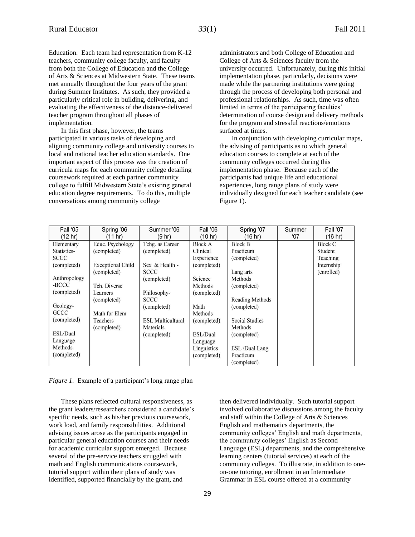Education. Each team had representation from K-12 teachers, community college faculty, and faculty from both the College of Education and the College of Arts & Sciences at Midwestern State. These teams met annually throughout the four years of the grant during Summer Institutes. As such, they provided a particularly critical role in building, delivering, and evaluating the effectiveness of the distance-delivered teacher program throughout all phases of implementation.

In this first phase, however, the teams participated in various tasks of developing and aligning community college and university courses to local and national teacher education standards. One important aspect of this process was the creation of curricula maps for each community college detailing coursework required at each partner community college to fulfill Midwestern State's existing general education degree requirements. To do this, multiple conversations among community college

administrators and both College of Education and College of Arts & Sciences faculty from the university occurred. Unfortunately, during this initial implementation phase, particularly, decisions were made while the partnering institutions were going through the process of developing both personal and professional relationships. As such, time was often limited in terms of the participating faculties' determination of course design and delivery methods for the program and stressful reactions/emotions surfaced at times.

In conjunction with developing curricular maps, the advising of participants as to which general education courses to complete at each of the community colleges occurred during this implementation phase. Because each of the participants had unique life and educational experiences, long range plans of study were individually designed for each teacher candidate (see Figure 1).

| Fall '05       | Spring '06               | Summer '06               | Fall '06       | Spring '07            | Summer       | Fall '07       |
|----------------|--------------------------|--------------------------|----------------|-----------------------|--------------|----------------|
| (12 hr)        | (11 hr)                  | (9 hr)                   | (10 hr)        | (16 hr)               | $^{\circ}07$ | (16 hr)        |
| Elementary     | Educ. Psychology         | Tchg. as Career          | <b>Block A</b> | <b>Block B</b>        |              | <b>Block C</b> |
| Statistics-    | (completed)              | (completed)              | Clinical       | Practicum             |              | Student        |
| <b>SCCC</b>    |                          |                          | Experience     | (completed)           |              | Teaching       |
| (completed)    | <b>Exceptional Child</b> | Sex & Health -           | (completed)    |                       |              | Internship     |
|                | (completed)              | <b>SCCC</b>              |                | Lang arts             |              | (enrolled)     |
| Anthropology   |                          | (completed)              | Science        | Methods               |              |                |
| -BCCC          | Tch. Diverse             |                          | Methods        | (completed)           |              |                |
| (completed)    | Learners                 | Philosophy-              | (completed)    |                       |              |                |
|                | (completed)              | <b>SCCC</b>              |                | Reading Methods       |              |                |
| Geology-       |                          | (completed)              | Math           | (completed)           |              |                |
| GCCC           | Math for Elem            |                          | <b>Methods</b> |                       |              |                |
| (completed)    | <b>Teachers</b>          | <b>ESL Multicultural</b> | (completed)    | <b>Social Studies</b> |              |                |
|                | (completed)              | Materials                |                | Methods               |              |                |
| ESL/Dual       |                          | (completed)              | ESL/Dual       | (completed)           |              |                |
| Language       |                          |                          | Language       |                       |              |                |
| <b>Methods</b> |                          |                          | Linguistics    | ESL/Dual Lang         |              |                |
| (completed)    |                          |                          | (completed)    | Practicum             |              |                |
|                |                          |                          |                | (completed)           |              |                |

*Figure 1.* Example of a participant's long range plan

These plans reflected cultural responsiveness, as the grant leaders/researchers considered a candidate's specific needs, such as his/her previous coursework, work load, and family responsibilities. Additional advising issues arose as the participants engaged in particular general education courses and their needs for academic curricular support emerged. Because several of the pre-service teachers struggled with math and English communications coursework, tutorial support within their plans of study was identified, supported financially by the grant, and

then delivered individually. Such tutorial support involved collaborative discussions among the faculty and staff within the College of Arts & Sciences English and mathematics departments, the community colleges' English and math departments, the community colleges' English as Second Language (ESL) departments, and the comprehensive learning centers (tutorial services) at each of the community colleges. To illustrate, in addition to oneon-one tutoring, enrollment in an Intermediate Grammar in ESL course offered at a community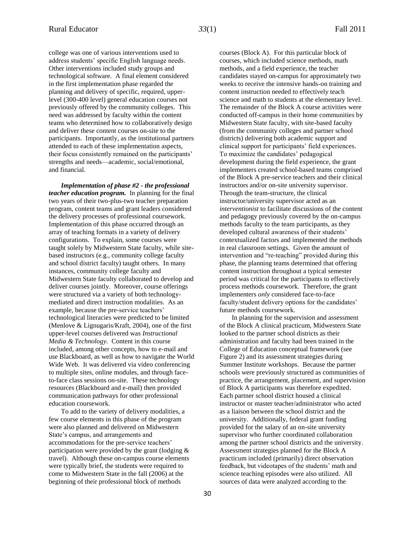college was one of various interventions used to address students' specific English language needs. Other interventions included study groups and technological software. A final element considered in the first implementation phase regarded the planning and delivery of specific, required, upperlevel (300-400 level) general education courses not previously offered by the community colleges. This need was addressed by faculty within the content teams who determined how to collaboratively design and deliver these content courses on-site to the participants. Importantly, as the institutional partners attended to each of these implementation aspects, their focus consistently remained on the participants' strengths and needs—academic, social/emotional, and financial.

*Implementation of phase #2 - the professional teacher education program.* In planning for the final two years of their two-plus-two teacher preparation program, content teams and grant leaders considered the delivery processes of professional coursework. Implementation of this phase occurred through an array of teaching formats in a variety of delivery configurations. To explain, some courses were taught solely by Midwestern State faculty, while sitebased instructors (e.g., community college faculty and school district faculty) taught others. In many instances, community college faculty and Midwestern State faculty collaborated to develop and deliver courses jointly. Moreover, course offerings were structured via a variety of both technologymediated and direct instruction modalities. As an example, because the pre-service teachers' technological literacies were predicted to be limited (Menlove & Lignugaris/Kraft, 2004), one of the first upper-level courses delivered was *Instructional Media & Technology.* Content in this course included, among other concepts, how to e-mail and use Blackboard, as well as how to navigate the World Wide Web. It was delivered via video conferencing to multiple sites, online modules, and through faceto-face class sessions on-site. These technology resources (Blackboard and e-mail) then provided communication pathways for other professional education coursework.

To add to the variety of delivery modalities, a few course elements in this phase of the program were also planned and delivered on Midwestern State's campus, and arrangements and accommodations for the pre-service teachers' participation were provided by the grant (lodging & travel). Although these on-campus course elements were typically brief, the students were required to come to Midwestern State in the fall (2006) at the beginning of their professional block of methods

courses (Block A). For this particular block of courses, which included science methods, math methods, and a field experience, the teacher candidates stayed on-campus for approximately two weeks to receive the intensive hands-on training and content instruction needed to effectively teach science and math to students at the elementary level. The remainder of the Block A course activities were conducted off-campus in their home communities by Midwestern State faculty, with site-based faculty (from the community colleges and partner school districts) delivering both academic support and clinical support for participants' field experiences. To maximize the candidates' pedagogical development during the field experience, the grant implementers created school-based teams comprised of the Block A pre-service teachers and their clinical instructors and/or on-site university supervisor. Through the team-structure, the clinical instructor/university supervisor acted as an *interventionist* to facilitate discussions of the content and pedagogy previously covered by the on-campus methods faculty to the team participants, as they developed cultural awareness of their students' contextualized factors and implemented the methods in real classroom settings. Given the amount of intervention and "re-teaching" provided during this phase, the planning teams determined that offering content instruction throughout a typical semester period was critical for the participants to effectively process methods coursework. Therefore, the grant implementers *only* considered face-to-face faculty/student delivery options for the candidates' future methods coursework.

In planning for the supervision and assessment of the Block A clinical practicum, Midwestern State looked to the partner school districts as their administration and faculty had been trained in the College of Education conceptual framework (see Figure 2) and its assessment strategies during Summer Institute workshops. Because the partner schools were previously structured as communities of practice, the arrangement, placement, and supervision of Block A participants was therefore expedited. Each partner school district housed a clinical instructor or master teacher/administrator who acted as a liaison between the school district and the university. Additionally, federal grant funding provided for the salary of an on-site university supervisor who further coordinated collaboration among the partner school districts and the university. Assessment strategies planned for the Block A practicum included (primarily) direct observation feedback, but videotapes of the students' math and science teaching episodes were also utilized. All sources of data were analyzed according to the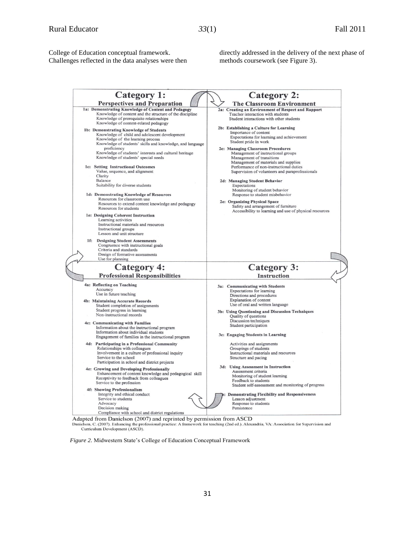College of Education conceptual framework. Challenges reflected in the data analyses were then directly addressed in the delivery of the next phase of methods coursework (see Figure 3).

| <b>Category 1:</b>                                        | <b>Category 2:</b>                                      |
|-----------------------------------------------------------|---------------------------------------------------------|
| <b>Perspectives and Preparation</b>                       | <b>The Classroom Environment</b>                        |
| 1a: Demonstrating Knowledge of Content and Pedagogy       | 2a: Creating an Environment of Respect and Rapport      |
| Knowledge of content and the structure of the discipline  | Teacher interaction with students                       |
| Knowledge of prerequisite relationships                   | Student interactions with other students                |
| Knowledge of content-related pedagogy                     |                                                         |
|                                                           | 2b: Establishing a Culture for Learning                 |
| 1b: Demonstrating Knowledge of Students                   | Importance of content                                   |
| Knowledge of child and adolescent development             | Expectations for learning and achievement               |
| Knowledge of the learning process                         |                                                         |
| Knowledge of students' skills and knowledge, and language | Student pride in work                                   |
| proficiency                                               | 2c: Managing Classroom Procedures                       |
| Knowledge of students' interests and cultural heritage    | Management of instructional groups                      |
| Knowledge of students' special needs                      | Management of transitions                               |
|                                                           | Management of materials and supplies                    |
| 1c: Setting Instructional Outcomes                        | Performance of non-instructional duties                 |
|                                                           |                                                         |
| Value, sequence, and alignment                            | Supervision of volunteers and paraprofessionals         |
| Clarity                                                   |                                                         |
| Balance                                                   | 2d: Managing Student Behavior                           |
| Suitability for diverse students                          | Expectations                                            |
|                                                           | Monitoring of student behavior                          |
| 1d: Demonstrating Knowledge of Resources                  | Response to student misbehavior                         |
| Resources for classroom use                               | 2e: Organizing Physical Space                           |
| Resources to extend content knowledge and pedagogy        |                                                         |
| Resources for students                                    | Safety and arrangement of furniture                     |
|                                                           | Accessibility to learning and use of physical resources |
| 1e: Designing Coherent Instruction                        |                                                         |
| Learning activities                                       |                                                         |
| Instructional materials and resources                     |                                                         |
| Instructional groups                                      |                                                         |
| Lesson and unit structure                                 |                                                         |
| <b>Designing Student Assessments</b>                      |                                                         |
|                                                           |                                                         |
| Congruence with instructional goals                       |                                                         |
| Criteria and standards                                    |                                                         |
| Design of formative assessments                           |                                                         |
| Use for planning                                          |                                                         |
| <b>Category 4:</b>                                        | <b>Category 3:</b>                                      |
| <b>Professional Responsibilities</b>                      | <b>Instruction</b>                                      |
|                                                           |                                                         |
|                                                           |                                                         |
| 4a: Reflecting on Teaching                                | 3a: Communicating with Students                         |
| Accuracy                                                  | Expectations for learning                               |
| Use in future teaching                                    | Directions and procedures                               |
|                                                           |                                                         |
| 4b: Maintaining Accurate Records                          | Explanation of content                                  |
| Student completion of assignments                         | Use of oral and written language                        |
| Student progress in learning                              | 3b: Using Questioning and Discussion Techniques         |
| Non-instructional records                                 | Quality of questions                                    |
|                                                           | Discussion techniques                                   |
| 4c: Communicating with Families                           | Student participation                                   |
| Information about the instructional program               |                                                         |
| Information about individual students                     | 3c: Engaging Students in Learning                       |
| Engagement of families in the instructional program       |                                                         |
| 4d: Participating in a Professional Community             | Activities and assignments                              |
| Relationships with colleagues                             | Groupings of students                                   |
| Involvement in a culture of professional inquiry          | Instructional materials and resources                   |
| Service to the school                                     |                                                         |
|                                                           | Structure and pacing                                    |
| Participation in school and district projects             |                                                         |
| 4e: Growing and Developing Professionally                 | 3d: Using Assessment in Instruction                     |
| Enhancement of content knowledge and pedagogical skill    | Assessment criteria                                     |
| Receptivity to feedback from colleagues                   | Monitoring of student learning                          |
| Service to the profession                                 | Feedback to students                                    |
|                                                           | Student self-assessment and monitoring of progress      |
| 4f: Showing Professionalism                               |                                                         |
| Integrity and ethical conduct                             | <b>Demonstrating Flexibility and Responsiveness</b>     |
| Service to students                                       | Lesson adjustment                                       |
| Advocacy<br>Decision making                               | Response to students<br>Persistence                     |

Adapted from Danielson (2007) and reprinted by permission from ASCD<br>Danielson, C. (2007). Enhancing the professional practice: A framework for teaching (2nd ed.). Alexandria, VA: Association for Supervision and Curriculum Development (ASCD).

*Figure 2.* Midwestern State's College of Education Conceptual Framework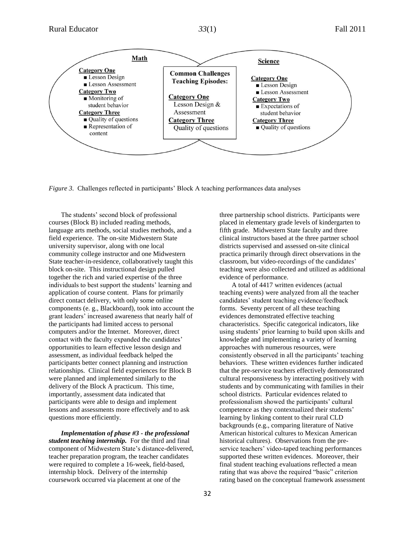

*Figure 3.* Challenges reflected in participants' Block A teaching performances data analyses

The students' second block of professional courses (Block B) included reading methods, language arts methods, social studies methods, and a field experience. The on-site Midwestern State university supervisor, along with one local community college instructor and one Midwestern State teacher-in-residence, collaboratively taught this block on-site. This instructional design pulled together the rich and varied expertise of the three individuals to best support the students' learning and application of course content. Plans for primarily direct contact delivery, with only some online components (e. g., Blackboard), took into account the grant leaders' increased awareness that nearly half of the participants had limited access to personal computers and/or the Internet. Moreover, direct contact with the faculty expanded the candidates' opportunities to learn effective lesson design and assessment, as individual feedback helped the participants better connect planning and instruction relationships. Clinical field experiences for Block B were planned and implemented similarly to the delivery of the Block A practicum. This time, importantly, assessment data indicated that participants were able to design and implement lessons and assessments more effectively and to ask questions more efficiently.

*Implementation of phase #3 - the professional student teaching internship.* For the third and final component of Midwestern State's distance-delivered, teacher preparation program, the teacher candidates were required to complete a 16-week, field-based, internship block. Delivery of the internship coursework occurred via placement at one of the

three partnership school districts. Participants were placed in elementary grade levels of kindergarten to fifth grade. Midwestern State faculty and three clinical instructors based at the three partner school districts supervised and assessed on-site clinical practica primarily through direct observations in the classroom, but video-recordings of the candidates' teaching were also collected and utilized as additional evidence of performance.

A total of 4417 written evidences (actual teaching events) were analyzed from all the teacher candidates' student teaching evidence/feedback forms. Seventy percent of all these teaching evidences demonstrated effective teaching characteristics. Specific categorical indicators, like using students' prior learning to build upon skills and knowledge and implementing a variety of learning approaches with numerous resources, were consistently observed in all the participants' teaching behaviors. These written evidences further indicated that the pre-service teachers effectively demonstrated cultural responsiveness by interacting positively with students and by communicating with families in their school districts. Particular evidences related to professionalism showed the participants' cultural competence as they contextualized their students' learning by linking content to their rural CLD backgrounds (e.g., comparing literature of Native American historical cultures to Mexican American historical cultures). Observations from the preservice teachers' video-taped teaching performances supported these written evidences. Moreover, their final student teaching evaluations reflected a mean rating that was above the required "basic" criterion rating based on the conceptual framework assessment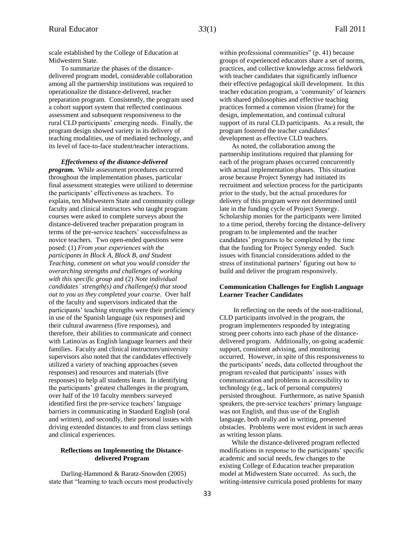scale established by the College of Education at Midwestern State.

To summarize the phases of the distancedelivered program model, considerable collaboration among all the partnership institutions was required to operationalize the distance-delivered, teacher preparation program. Consistently, the program used a cohort support system that reflected continuous assessment and subsequent responsiveness to the rural CLD participants' emerging needs. Finally, the program design showed variety in its delivery of teaching modalities, use of mediated technology, and its level of face-to-face student/teacher interactions.

#### *Effectiveness of the distance-delivered*

*program.* While assessment procedures occurred throughout the implementation phases, particular final assessment strategies were utilized to determine the participants' effectiveness as teachers. To explain, ten Midwestern State and community college faculty and clinical instructors who taught program courses were asked to complete surveys about the distance-delivered teacher preparation program in terms of the pre-service teachers' successfulness as novice teachers. Two open-ended questions were posed: (1) *From your experiences with the participants in Block A, Block B, and Student Teaching, comment on what you would consider the overarching strengths and challenges of working with this specific group* and (2) *Note individual candidates' strength(s) and challenge(s) that stood out to you as they completed your course.* Over half of the faculty and supervisors indicated that the participants' teaching strengths were their proficiency in use of the Spanish language (six responses) and their cultural awareness (five responses), and therefore, their abilities to communicate and connect with Latino/as as English language learners and their families. Faculty and clinical instructors/university supervisors also noted that the candidates effectively utilized a variety of teaching approaches (seven responses) and resources and materials (five responses) to help all students learn. In identifying the participants' greatest challenges in the program, over half of the 10 faculty members surveyed identified first the pre-service teachers' language barriers in communicating in Standard English (oral and written), and secondly, their personal issues with driving extended distances to and from class settings and clinical experiences.

### **Reflections on Implementing the Distancedelivered Program**

Darling-Hammond & Baratz-Snowden (2005) state that "learning to teach occurs most productively within professional communities" (p. 41) because groups of experienced educators share a set of norms, practices, and collective knowledge across fieldwork with teacher candidates that significantly influence their effective pedagogical skill development. In this teacher education program, a 'community' of learners with shared philosophies and effective teaching practices formed a common vision (frame) for the design, implementation, and continual cultural support of its rural CLD participants. As a result, the program fostered the teacher candidates' development as effective CLD teachers.

As noted, the collaboration among the partnership institutions required that planning for each of the program phases occurred concurrently with actual implementation phases. This situation arose because Project Synergy had initiated its recruitment and selection process for the participants prior to the study, but the actual procedures for delivery of this program were not determined until late in the funding cycle of Project Synergy. Scholarship monies for the participants were limited to a time period, thereby forcing the distance-delivery program to be implemented and the teacher candidates' programs to be completed by the time that the funding for Project Synergy ended. Such issues with financial considerations added to the stress of institutional partners' figuring out how to build and deliver the program responsively.

## **Communication Challenges for English Language Learner Teacher Candidates**

In reflecting on the needs of the non-traditional, CLD participants involved in the program, the program implementers responded by integrating strong peer cohorts into each phase of the distancedelivered program. Additionally, on-going academic support, consistent advising, and monitoring occurred. However, in spite of this responsiveness to the participants' needs, data collected throughout the program revealed that participants' issues with communication and problems in accessibility to technology (e.g., lack of personal computers) persisted throughout. Furthermore, as native Spanish speakers, the pre-service teachers' primary language was not English, and thus use of the English language, both orally and in writing, presented obstacles. Problems were most evident in such areas as writing lesson plans.

While the distance-delivered program reflected modifications in response to the participants' specific academic and social needs, few changes to the existing College of Education teacher preparation model at Midwestern State occurred. As such, the writing-intensive curricula posed problems for many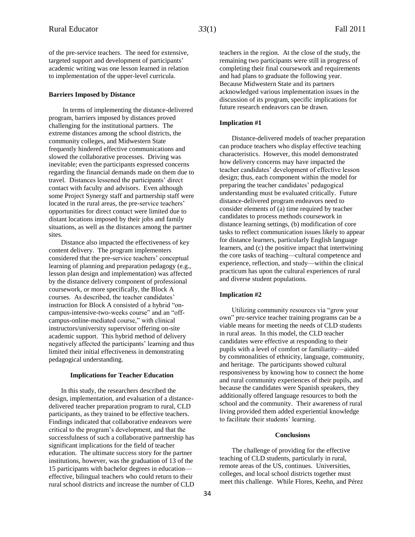#### **Barriers Imposed by Distance**

In terms of implementing the distance-delivered program, barriers imposed by distances proved challenging for the institutional partners. The extreme distances among the school districts, the community colleges, and Midwestern State frequently hindered effective communications and slowed the collaborative processes. Driving was inevitable; even the participants expressed concerns regarding the financial demands made on them due to travel. Distances lessened the participants' direct contact with faculty and advisors. Even although some Project Synergy staff and partnership staff were located in the rural areas, the pre-service teachers' opportunities for direct contact were limited due to distant locations imposed by their jobs and family situations, as well as the distances among the partner sites.

Distance also impacted the effectiveness of key content delivery. The program implementers considered that the pre-service teachers' conceptual learning of planning and preparation pedagogy (e.g., lesson plan design and implementation) was affected by the distance delivery component of professional coursework, or more specifically, the Block A courses. As described, the teacher candidates' instruction for Block A consisted of a hybrid "oncampus-intensive-two-weeks course" and an "offcampus-online-mediated course," with clinical instructors/university supervisor offering on-site academic support. This hybrid method of delivery negatively affected the participants' learning and thus limited their initial effectiveness in demonstrating pedagogical understanding.

#### **Implications for Teacher Education**

In this study, the researchers described the design, implementation, and evaluation of a distancedelivered teacher preparation program to rural, CLD participants, as they trained to be effective teachers. Findings indicated that collaborative endeavors were critical to the program's development, and that the successfulness of such a collaborative partnership has significant implications for the field of teacher education. The ultimate success story for the partner institutions, however, was the graduation of 13 of the 15 participants with bachelor degrees in education effective, bilingual teachers who could return to their rural school districts and increase the number of CLD

teachers in the region. At the close of the study, the remaining two participants were still in progress of completing their final coursework and requirements and had plans to graduate the following year. Because Midwestern State and its partners acknowledged various implementation issues in the discussion of its program, specific implications for future research endeavors can be drawn.

#### **Implication #1**

Distance-delivered models of teacher preparation can produce teachers who display effective teaching characteristics. However, this model demonstrated how delivery concerns may have impacted the teacher candidates' development of effective lesson design; thus, each component within the model for preparing the teacher candidates' pedagogical understanding must be evaluated critically. Future distance-delivered program endeavors need to consider elements of (a) time required by teacher candidates to process methods coursework in distance learning settings, (b) modification of core tasks to reflect communication issues likely to appear for distance learners, particularly English language learners, and (c) the positive impact that intertwining the core tasks of teaching—cultural competence and experience, reflection, and study—within the clinical practicum has upon the cultural experiences of rural and diverse student populations.

#### **Implication #2**

Utilizing community resources via "grow your own" pre-service teacher training programs can be a viable means for meeting the needs of CLD students in rural areas. In this model, the CLD teacher candidates were effective at responding to their pupils with a level of comfort or familiarity—aided by commonalities of ethnicity, language, community, and heritage. The participants showed cultural responsiveness by knowing how to connect the home and rural community experiences of their pupils, and because the candidates were Spanish speakers, they additionally offered language resources to both the school and the community. Their awareness of rural living provided them added experiential knowledge to facilitate their students' learning.

#### **Conclusions**

The challenge of providing for the effective teaching of CLD students, particularly in rural, remote areas of the US, continues. Universities, colleges, and local school districts together must meet this challenge. While Flores, Keehn, and Pérez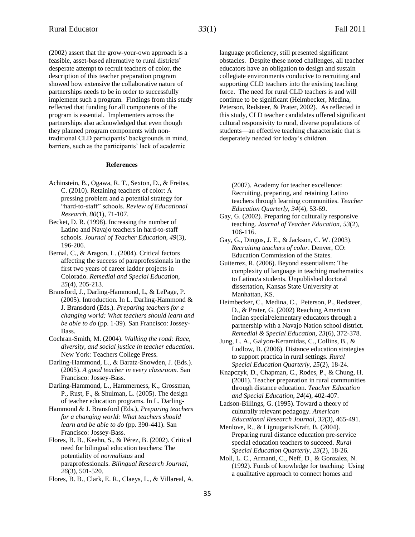(2002) assert that the grow-your-own approach is a feasible, asset-based alternative to rural districts' desperate attempt to recruit teachers of color, the description of this teacher preparation program showed how extensive the collaborative nature of partnerships needs to be in order to successfully implement such a program. Findings from this study reflected that funding for all components of the program is essential. Implementers across the partnerships also acknowledged that even though they planned program components with nontraditional CLD participants' backgrounds in mind, barriers, such as the participants' lack of academic

#### **References**

- Achinstein, B., Ogawa, R. T., Sexton, D., & Freitas, C. (2010). Retaining teachers of color: A pressing problem and a potential strategy for "hard-to-staff" schools. *Review of Educational Research, 80*(1), 71-107.
- Becket, D. R. (1998). Increasing the number of Latino and Navajo teachers in hard-to-staff schools. *Journal of Teacher Education, 49*(3), 196-206.
- Bernal, C., & Aragon, L. (2004). Critical factors affecting the success of paraprofessionals in the first two years of career ladder projects in Colorado. *Remedial and Special Education, 25*(4), 205-213.
- Bransford, J., Darling-Hammond, L, & LePage, P. (2005). Introduction. In L. Darling-Hammond & J. Bransdord (Eds.). *Preparing teachers for a changing world: What teachers should learn and be able to do* (pp. 1-39). San Francisco: Jossey-Bass.
- Cochran-Smith, M. (2004). *Walking the road: Race, diversity, and social justice in teacher education*. New York: Teachers College Press.
- Darling-Hammond, L., & Baratz-Snowden, J. (Eds.). (2005). *A good teacher in every classroom.* San Francisco: Jossey-Bass.
- Darling-Hammond, L., Hammerness, K., Grossman, P., Rust, F., & Shulman, L. (2005). The design of teacher education programs. In L. Darling-
- Hammond & J. Bransford (Eds.), *Preparing teachers for a changing world: What teachers should learn and be able to do* (pp. 390-441). San Francisco: Jossey-Bass.
- Flores, B. B., Keehn, S., & Pérez, B. (2002). Critical need for bilingual education teachers: The potentiality of *normalistas* and paraprofessionals. *Bilingual Research Journal, 26*(3), 501-520.

Flores, B. B., Clark, E. R., Claeys, L., & Villareal, A.

language proficiency, still presented significant obstacles. Despite these noted challenges, all teacher educators have an obligation to design and sustain collegiate environments conducive to recruiting and supporting CLD teachers into the existing teaching force. The need for rural CLD teachers is and will continue to be significant (Heimbecker, Medina, Peterson, Redsteer, & Prater, 2002). As reflected in this study, CLD teacher candidates offered significant cultural responsivity to rural, diverse populations of students—an effective teaching characteristic that is desperately needed for today's children.

(2007). Academy for teacher excellence: Recruiting, preparing, and retaining Latino teachers through learning communities. *Teacher Education Quarterly, 34*(4), 53-69.

- Gay, G. (2002). Preparing for culturally responsive teaching. *Journal of Teacher Education*, *53*(2), 106-116.
- Gay, G., Dingus, J. E., & Jackson, C. W. (2003). *Recruiting teachers of color*. Denver, CO: Education Commission of the States.
- Guiterrez, R. (2006). Beyond essentialism: The complexity of language in teaching mathematics to Latino/a students. Unpublished doctoral dissertation, Kansas State University at Manhattan, KS.
- Heimbecker, C., Medina, C., Peterson, P., Redsteer, D., & Prater, G. (2002) Reaching American Indian special/elementary educators through a partnership with a Navajo Nation school district. *Remedial & Special Education, 23*(6), 372-378.
- Jung, L. A., Galyon-Keramidas, C., Collins, B., & Ludlow, B. (2006). Distance education strategies to support practica in rural settings. *Rural Special Education Quarterly, 25*(2), 18-24.
- Knapczyk, D., Chapman, C., Rodes, P., & Chung, H. (2001). Teacher preparation in rural communities through distance education. *Teacher Education and Special Education, 24*(4), 402-407.
- Ladson-Billings, G. (1995). Toward a theory of culturally relevant pedagogy. *American Educational Research Journal, 32*(3), 465-491.
- Menlove, R., & Lignugaris/Kraft, B. (2004). Preparing rural distance education pre-service special education teachers to succeed. *Rural Special Education Quarterly, 23*(2), 18-26.
- Moll, L. C., Armanti, C., Neff, D., & Gonzalez, N. (1992). Funds of knowledge for teaching: Using a qualitative approach to connect homes and